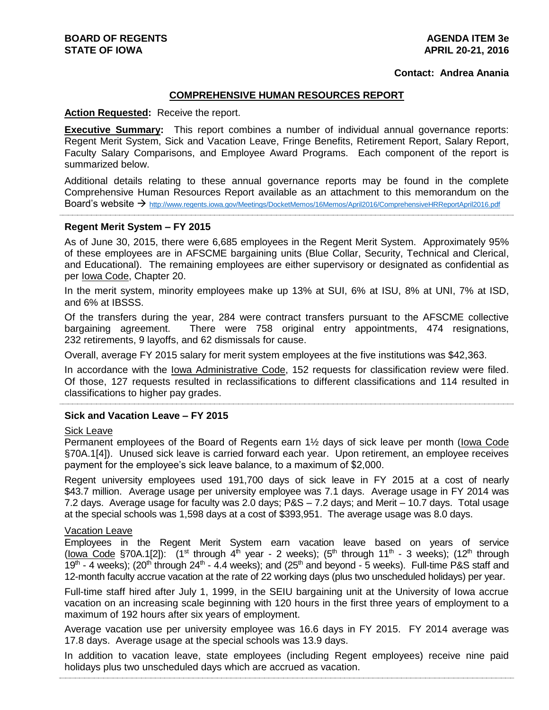#### **Contact: Andrea Anania**

#### **COMPREHENSIVE HUMAN RESOURCES REPORT**

#### **Action Requested:** Receive the report.

**Executive Summary:** This report combines a number of individual annual governance reports: Regent Merit System, Sick and Vacation Leave, Fringe Benefits, Retirement Report, Salary Report, Faculty Salary Comparisons, and Employee Award Programs. Each component of the report is summarized below.

Additional details relating to these annual governance reports may be found in the complete Comprehensive Human Resources Report available as an attachment to this memorandum on the Board's website  $\rightarrow$  http://www.regents.jowa.gov/Meetings/DocketMemos/16Memos/April2016/ComprehensiveHRReportApril2016.pdf

#### **Regent Merit System – FY 2015**

As of June 30, 2015, there were 6,685 employees in the Regent Merit System. Approximately 95% of these employees are in AFSCME bargaining units (Blue Collar, Security, Technical and Clerical, and Educational). The remaining employees are either supervisory or designated as confidential as per Iowa Code, Chapter 20.

In the merit system, minority employees make up 13% at SUI, 6% at ISU, 8% at UNI, 7% at ISD, and 6% at IBSSS.

Of the transfers during the year, 284 were contract transfers pursuant to the AFSCME collective bargaining agreement. There were 758 original entry appointments, 474 resignations, 232 retirements, 9 layoffs, and 62 dismissals for cause.

Overall, average FY 2015 salary for merit system employees at the five institutions was \$42,363.

In accordance with the Iowa Administrative Code, 152 requests for classification review were filed. Of those, 127 requests resulted in reclassifications to different classifications and 114 resulted in classifications to higher pay grades.

#### **Sick and Vacation Leave – FY 2015**

#### **Sick Leave**

Permanent employees of the Board of Regents earn 1½ days of sick leave per month (Iowa Code §70A.1[4]). Unused sick leave is carried forward each year. Upon retirement, an employee receives payment for the employee's sick leave balance, to a maximum of \$2,000.

Regent university employees used 191,700 days of sick leave in FY 2015 at a cost of nearly \$43.7 million. Average usage per university employee was 7.1 days. Average usage in FY 2014 was 7.2 days. Average usage for faculty was 2.0 days; P&S – 7.2 days; and Merit – 10.7 days. Total usage at the special schools was 1,598 days at a cost of \$393,951. The average usage was 8.0 days.

#### Vacation Leave

Employees in the Regent Merit System earn vacation leave based on years of service (lowa Code §70A.1[2]):  $(1^{st}$  through  $4^{th}$  year - 2 weeks);  $(5^{th}$  through  $11^{th}$  - 3 weeks);  $(12^{th}$  through 19<sup>th</sup> - 4 weeks); (20<sup>th</sup> through 24<sup>th</sup> - 4.4 weeks); and (25<sup>th</sup> and beyond - 5 weeks). Full-time P&S staff and 12-month faculty accrue vacation at the rate of 22 working days (plus two unscheduled holidays) per year.

Full-time staff hired after July 1, 1999, in the SEIU bargaining unit at the University of Iowa accrue vacation on an increasing scale beginning with 120 hours in the first three years of employment to a maximum of 192 hours after six years of employment.

Average vacation use per university employee was 16.6 days in FY 2015. FY 2014 average was 17.8 days. Average usage at the special schools was 13.9 days.

In addition to vacation leave, state employees (including Regent employees) receive nine paid holidays plus two unscheduled days which are accrued as vacation.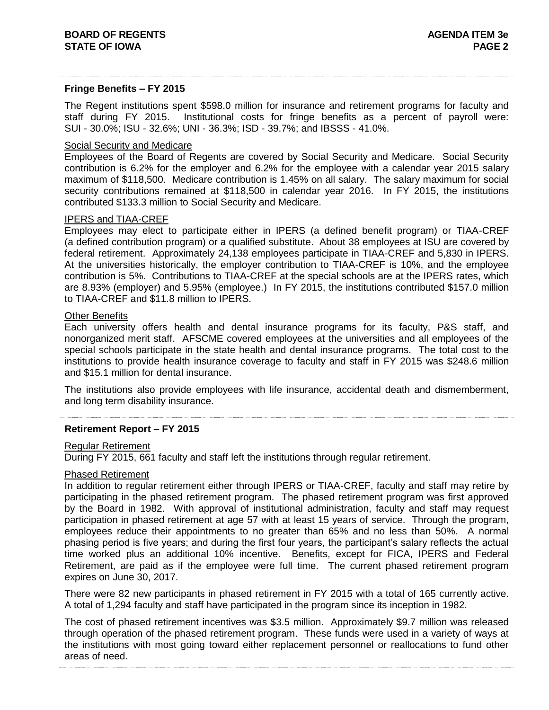#### **Fringe Benefits – FY 2015**

The Regent institutions spent \$598.0 million for insurance and retirement programs for faculty and staff during FY 2015. Institutional costs for fringe benefits as a percent of payroll were: SUI - 30.0%; ISU - 32.6%; UNI - 36.3%; ISD - 39.7%; and IBSSS - 41.0%.

### Social Security and Medicare

Employees of the Board of Regents are covered by Social Security and Medicare. Social Security contribution is 6.2% for the employer and 6.2% for the employee with a calendar year 2015 salary maximum of \$118,500. Medicare contribution is 1.45% on all salary. The salary maximum for social security contributions remained at \$118,500 in calendar year 2016. In FY 2015, the institutions contributed \$133.3 million to Social Security and Medicare.

#### IPERS and TIAA-CREF

Employees may elect to participate either in IPERS (a defined benefit program) or TIAA-CREF (a defined contribution program) or a qualified substitute. About 38 employees at ISU are covered by federal retirement. Approximately 24,138 employees participate in TIAA-CREF and 5,830 in IPERS. At the universities historically, the employer contribution to TIAA-CREF is 10%, and the employee contribution is 5%. Contributions to TIAA-CREF at the special schools are at the IPERS rates, which are 8.93% (employer) and 5.95% (employee.) In FY 2015, the institutions contributed \$157.0 million to TIAA-CREF and \$11.8 million to IPERS.

#### Other Benefits

Each university offers health and dental insurance programs for its faculty, P&S staff, and nonorganized merit staff. AFSCME covered employees at the universities and all employees of the special schools participate in the state health and dental insurance programs. The total cost to the institutions to provide health insurance coverage to faculty and staff in FY 2015 was \$248.6 million and \$15.1 million for dental insurance.

The institutions also provide employees with life insurance, accidental death and dismemberment, and long term disability insurance.

### **Retirement Report – FY 2015**

#### Regular Retirement

During FY 2015, 661 faculty and staff left the institutions through regular retirement.

#### Phased Retirement

In addition to regular retirement either through IPERS or TIAA-CREF, faculty and staff may retire by participating in the phased retirement program. The phased retirement program was first approved by the Board in 1982. With approval of institutional administration, faculty and staff may request participation in phased retirement at age 57 with at least 15 years of service. Through the program, employees reduce their appointments to no greater than 65% and no less than 50%. A normal phasing period is five years; and during the first four years, the participant's salary reflects the actual time worked plus an additional 10% incentive. Benefits, except for FICA, IPERS and Federal Retirement, are paid as if the employee were full time. The current phased retirement program expires on June 30, 2017.

There were 82 new participants in phased retirement in FY 2015 with a total of 165 currently active. A total of 1,294 faculty and staff have participated in the program since its inception in 1982.

The cost of phased retirement incentives was \$3.5 million. Approximately \$9.7 million was released through operation of the phased retirement program. These funds were used in a variety of ways at the institutions with most going toward either replacement personnel or reallocations to fund other areas of need.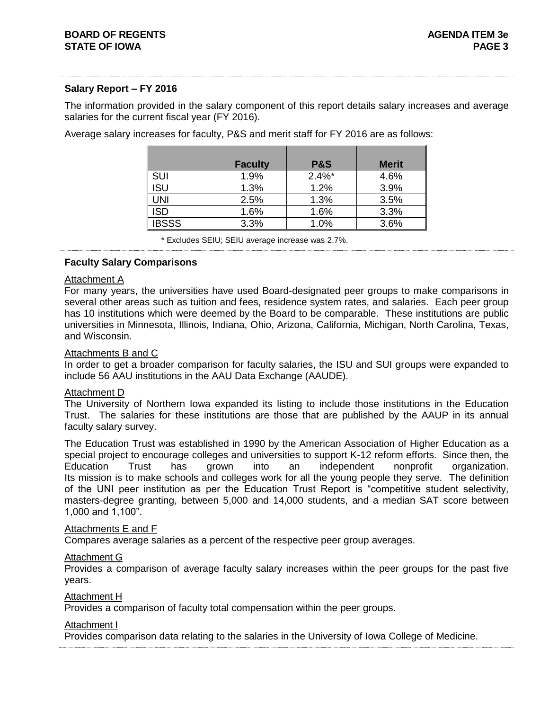### **Salary Report – FY 2016**

The information provided in the salary component of this report details salary increases and average salaries for the current fiscal year (FY 2016).

|              | <b>Faculty</b> | <b>P&amp;S</b> | <b>Merit</b> |
|--------------|----------------|----------------|--------------|
| <b>SUI</b>   | 1.9%           | $2.4\%$ *      | 4.6%         |
| ISU          | 1.3%           | 1.2%           | 3.9%         |
| UNI          | 2.5%           | 1.3%           | 3.5%         |
| <b>ISD</b>   | 1.6%           | 1.6%           | 3.3%         |
| <b>IBSSS</b> | 3.3%           | 1.0%           | 3.6%         |

Average salary increases for faculty, P&S and merit staff for FY 2016 are as follows:

\* Excludes SEIU; SEIU average increase was 2.7%.

#### **Faculty Salary Comparisons**

#### Attachment A

For many years, the universities have used Board-designated peer groups to make comparisons in several other areas such as tuition and fees, residence system rates, and salaries. Each peer group has 10 institutions which were deemed by the Board to be comparable. These institutions are public universities in Minnesota, Illinois, Indiana, Ohio, Arizona, California, Michigan, North Carolina, Texas, and Wisconsin.

#### Attachments B and C

In order to get a broader comparison for faculty salaries, the ISU and SUI groups were expanded to include 56 AAU institutions in the AAU Data Exchange (AAUDE).

#### **Attachment D**

The University of Northern Iowa expanded its listing to include those institutions in the Education Trust. The salaries for these institutions are those that are published by the AAUP in its annual faculty salary survey.

The Education Trust was established in 1990 by the American Association of Higher Education as a special project to encourage colleges and universities to support K-12 reform efforts. Since then, the Education Trust has grown into an independent nonprofit organization. Its mission is to make schools and colleges work for all the young people they serve. The definition of the UNI peer institution as per the Education Trust Report is "competitive student selectivity, masters-degree granting, between 5,000 and 14,000 students, and a median SAT score between 1,000 and 1,100".

#### Attachments E and F

Compares average salaries as a percent of the respective peer group averages.

#### Attachment G

Provides a comparison of average faculty salary increases within the peer groups for the past five years.

#### Attachment H

Provides a comparison of faculty total compensation within the peer groups.

#### Attachment I

Provides comparison data relating to the salaries in the University of Iowa College of Medicine.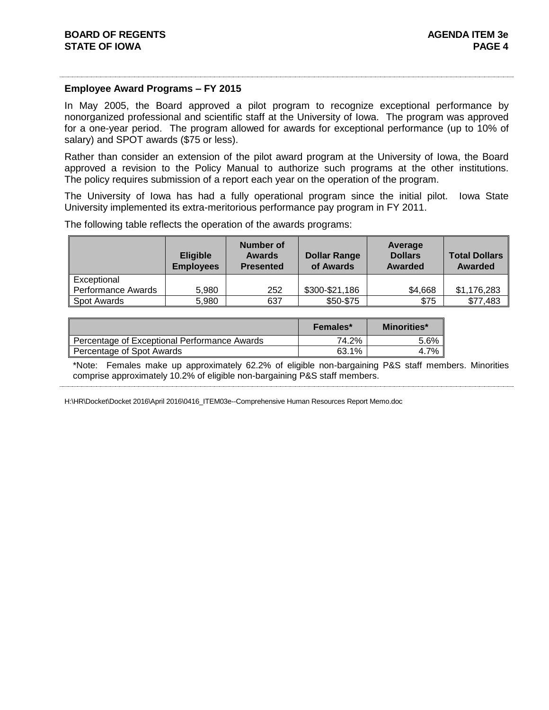#### **Employee Award Programs – FY 2015**

In May 2005, the Board approved a pilot program to recognize exceptional performance by nonorganized professional and scientific staff at the University of Iowa. The program was approved for a one-year period. The program allowed for awards for exceptional performance (up to 10% of salary) and SPOT awards (\$75 or less).

Rather than consider an extension of the pilot award program at the University of Iowa, the Board approved a revision to the Policy Manual to authorize such programs at the other institutions. The policy requires submission of a report each year on the operation of the program.

The University of Iowa has had a fully operational program since the initial pilot. Iowa State University implemented its extra-meritorious performance pay program in FY 2011.

|                    | <b>Eligible</b><br><b>Employees</b> | Number of<br><b>Awards</b><br><b>Presented</b> | <b>Dollar Range</b><br>of Awards | Average<br><b>Dollars</b><br><b>Awarded</b> | <b>Total Dollars</b><br><b>Awarded</b> |
|--------------------|-------------------------------------|------------------------------------------------|----------------------------------|---------------------------------------------|----------------------------------------|
| Exceptional        |                                     |                                                |                                  |                                             |                                        |
| Performance Awards | 5,980                               | 252                                            | \$300-\$21,186                   | \$4,668                                     | \$1,176,283                            |
| <b>Spot Awards</b> | 5,980                               | 637                                            | \$50-\$75                        | \$75                                        | \$77,483                               |

The following table reflects the operation of the awards programs:

|                                              | <b>Females*</b> | <b>Minorities*</b> |
|----------------------------------------------|-----------------|--------------------|
| Percentage of Exceptional Performance Awards | 74.2%           | 5.6%               |
| Percentage of Spot Awards                    | 63.1%           | 4.7%               |

\*Note:Females make up approximately 62.2% of eligible non-bargaining P&S staff members. Minorities comprise approximately 10.2% of eligible non-bargaining P&S staff members.

H:\HR\Docket\Docket 2016\April 2016\0416\_ITEM03e--Comprehensive Human Resources Report Memo.doc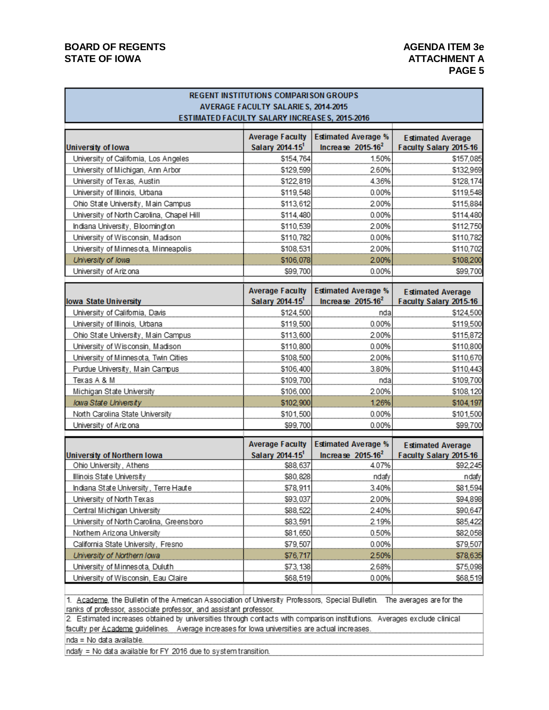### **BOARD OF REGENTS AGENUS AGENDA ITEM 3e** STATE OF IOWA **ATTACHMENT A**

# **PAGE 5**

|                                           | <b>REGENT INSTITUTIONS COMPARISON GROUPS</b><br>AVERAGE FACULTY SALARIES, 2014-2015<br>ESTIMATED FACULTY SALARY INCREASES, 2015-2016 |                                                    |                                                    |
|-------------------------------------------|--------------------------------------------------------------------------------------------------------------------------------------|----------------------------------------------------|----------------------------------------------------|
| University of Iowa                        | <b>Average Faculty</b><br>Salary 2014-15 <sup>1</sup>                                                                                | <b>Estimated Average %</b><br>Increase $2015-16^2$ | <b>Estimated Average</b><br>Faculty Salary 2015-16 |
| University of Califomia, Los Angeles      | \$154,764                                                                                                                            | 1.50%                                              | \$157,085                                          |
| University of Michigan, Ann Arbor         | \$129,599                                                                                                                            | 2.60%                                              | \$132,969                                          |
| University of Texas, Austin               | \$122,819                                                                                                                            | 4.36%                                              | \$128,174                                          |
| University of Illinois, Urbana            | \$119,548                                                                                                                            | 0.00%                                              | \$119,548                                          |
| Ohio State University, Main Campus        | \$113,612                                                                                                                            | 2.00%                                              | \$115,884                                          |
| University of North Carolina, Chapel Hill | \$114,480                                                                                                                            | 0.00%                                              | \$114,480                                          |
| Indiana University, Bloomington           | \$110,539                                                                                                                            | 2.00%                                              | \$112,750                                          |
| University of Wisconsin, Madison          | \$110,782                                                                                                                            | 0.00%                                              | \$110,782                                          |
| University of Minnesota, Minneapolis      | \$108,531                                                                                                                            | 2.00%                                              | \$110,702                                          |
| University of Iowa                        | \$106,078                                                                                                                            | 2.00%                                              | \$108,200                                          |
| University of Ariz ona                    | \$99,700                                                                                                                             | 0.00%                                              | \$99,700                                           |
|                                           |                                                                                                                                      |                                                    |                                                    |
|                                           | <b>Average Faculty</b>                                                                                                               | <b>Estimated Average %</b>                         | <b>Estimated Average</b>                           |
| lowa State University                     | Salary 2014-15 <sup>1</sup>                                                                                                          | Increase $2015-16^2$                               | Faculty Salary 2015-16                             |
| University of California, Davis           | \$124,500                                                                                                                            | nda                                                | \$124,500                                          |
| University of Illinois, Urbana            | \$119,500                                                                                                                            | 0.00%                                              | \$119,500                                          |
| Ohio State University, Main Campus        | \$113,600                                                                                                                            | 2.00%                                              | \$115,872                                          |
| University of Wisconsin, Madison          | \$110,800                                                                                                                            | 0.00%                                              | \$110,800                                          |
| University of Minnesota, Twin Cities      | \$108,500                                                                                                                            | 2.00%                                              | \$110,670                                          |
| Purdue University, Main Campus            | \$106,400                                                                                                                            | 3.80%                                              | \$110,443                                          |
| Texas A & M                               | \$109,700                                                                                                                            | nda                                                | \$109,700                                          |
| Michigan State University                 | \$106,000                                                                                                                            | 2.00%                                              | \$108,120                                          |
| lowa State University                     | \$102,900                                                                                                                            | 1.26%<br>0.00%                                     | \$104,197                                          |
| North Carolina State University           | \$101,500                                                                                                                            |                                                    | \$101,500                                          |
| University of Ariz ona                    | \$99,700                                                                                                                             | 0.00%                                              | \$99,700                                           |
| University of Northern Iowa               | <b>Average Faculty</b><br>Salary 2014-15 <sup>1</sup>                                                                                | <b>Estimated Average %</b><br>Increase $2015-16^2$ | <b>Estimated Average</b><br>Faculty Salary 2015-16 |
| Ohio University, Athens                   | \$88,637                                                                                                                             | 4.07%                                              | \$92,245                                           |
| Illinois State University                 | \$80,828                                                                                                                             | ndafy                                              | ndafy                                              |
| Indiana State University, Terre Haute     | \$78,911                                                                                                                             | 3.40%                                              | \$81,594                                           |
| University of North Texas                 | \$93,037                                                                                                                             | 2.00%                                              | \$94,898                                           |
| Central Michigan University               | \$88,522                                                                                                                             | 2.40%                                              | \$90,647                                           |
| University of North Carolina, Greensboro  | \$83,591                                                                                                                             | 2.19%                                              | \$85,422                                           |
| Northern Arizona University               | \$81,650                                                                                                                             | 0.50%                                              | \$82,058                                           |
| California State University, Fresno       | \$79,507                                                                                                                             | 0.00%                                              | \$79,507                                           |
| <b>University of Northern Iowa</b>        | \$76,717                                                                                                                             | 2.50%                                              | \$78,635                                           |
| University of Minnesota, Duluth           | \$73,138                                                                                                                             | 2.68%                                              | \$75,098                                           |
| University of Wisconsin, Eau Claire       | \$68,519                                                                                                                             | 0.00%                                              | \$68,519                                           |

1. Academe, the Bulletin of the American Association of University Professors, Special Bulletin. The averages are for the ranks of professor, associate professor, and assistant professor.

2. Estimated increases obtained by universities through contacts with comparison institutions. Averages exclude clinical faculty per Academe guidelines. Average increases for lowa universities are actual increases.

nda = No data available.

ndafy = No data available for FY 2016 due to system transition.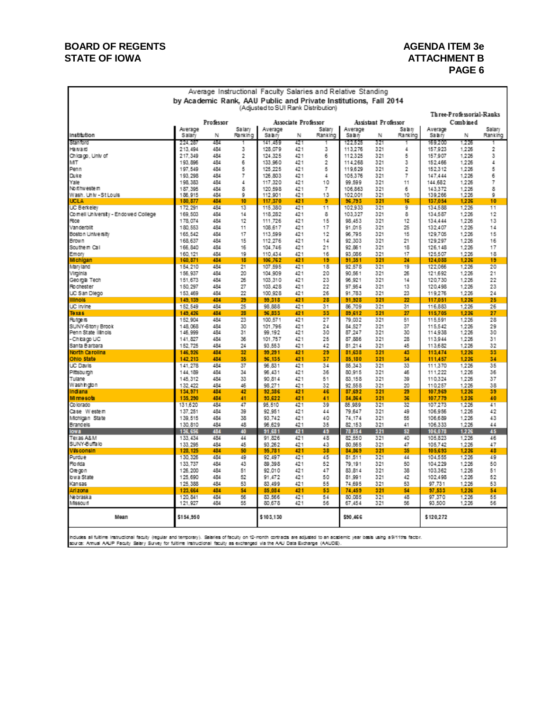### **BOARD OF REGENTS AGENDA ITEM 3e** STATE OF IOWA **ATTACHMENT B**

# **PAGE 6**

| Average Instructional Faculty Salaries and Relative Standing<br>by Academic Rank, AAU Public and Private Institutions, Fall 2014 |                    |            |          |                    |                            |                |                    |                     |          |                    |                |          |
|----------------------------------------------------------------------------------------------------------------------------------|--------------------|------------|----------|--------------------|----------------------------|----------------|--------------------|---------------------|----------|--------------------|----------------|----------|
|                                                                                                                                  |                    |            |          |                    |                            |                |                    |                     |          |                    |                |          |
| (Adjusted to SUI Rank Distribution)<br>Three-Professorial-Ranks                                                                  |                    |            |          |                    |                            |                |                    |                     |          |                    |                |          |
|                                                                                                                                  |                    | Professor  |          |                    | <b>Associate Professor</b> |                |                    | Assistant Professor |          |                    | Cambined       |          |
|                                                                                                                                  | Average            |            | Salary   | Average            |                            | Salary         | Average            |                     | Sabiv    | Average            |                | Salary   |
| institution                                                                                                                      | Salary             | N          | Ranking  | Sabrv              | Ν                          | Ranking        | Sabr               | N                   | Ranking  | Sabry              | Ν              | Ranking  |
| Stanford                                                                                                                         | 224.28             | 484        |          | 141.459            | 421                        |                | 122.525            | 321                 |          | 169.200            | 1.225          |          |
| Haivaid<br>Chicago, Univ of                                                                                                      | 213.494<br>217.349 | 484<br>484 | 3<br>2   | 128.079<br>124.325 | 421<br>421                 | 3<br>6         | 113.276<br>112.325 | 321<br>321          | 4<br>5   | 157.923<br>157,907 | 1.226<br>1.226 | 2<br>з   |
| MT                                                                                                                               | 193.896            | 484        | 6        | 133.960            | 421                        | $\overline{2}$ | 114.268            | 321                 | 3        | 152 466            | 1.226          | 4        |
| Penn                                                                                                                             | 197.549            | 484        | 5        | 125.225            | 421                        | 5              | 119.629            | 321                 | 2        | 152.312            | 1.226          | 5        |
| Duke                                                                                                                             | 193.298            | 484        | 7        | 126.803            | 421                        | 4              | 105.376            | 321                 | 7        | 147.444            | 1.226          | 6        |
| Yale                                                                                                                             | 198.383            | 484        | 4        | 117.320            | 421                        | 10             | 99.599             | 321                 | 11       | 144.682            | 1.226          | 7        |
| No it hw este in<br>Wash. Univ - St Louis                                                                                        | 187.395<br>186.915 | 484<br>484 | 8<br>٥   | 120.598<br>112.901 | 421<br>421                 | 7<br>13        | 106.863<br>102.001 | 321<br>321          | 6<br>10  | 143.372<br>139.266 | 1.226<br>1.226 | 8<br>Q   |
| UCLA                                                                                                                             | 130.877            | 484        | 10       | 117,370            | 421                        | 9              | 56.793             | 321                 | 16       | 137.054            | 1.226          | 10       |
| UC Berkeley                                                                                                                      | 172.291            | 484        | 13       | 115,380            | 421                        | 11             | 102.933            | 321                 | 9        | 134.588            | 1.226          | 11       |
| Comell University - Endowed College                                                                                              | 169.503            | 484        | 14       | 118.282            | 421                        | 8              | 103.327            | 321                 | 8        | 134.587            | 1.226          | 12       |
| Rice<br>Van derbilit                                                                                                             | 178,074<br>180.553 | 484<br>484 | 12<br>11 | 111.726<br>108.617 | 421<br>421                 | 15<br>17       | 98.453<br>91.015   | 321<br>321          | 12<br>25 | 134.444<br>132.407 | 1.226<br>1.226 | 13<br>14 |
| Boston University                                                                                                                | 165.542            | 484        | 17       | 113,599            | 421                        | 12             | 96.795             | 321                 | 15       | 129.705            | 1.226          | 15       |
| <b>Brown</b>                                                                                                                     | 168.637            | 484        | 15       | 112.276            | 421                        | 14             | 92.303             | 321                 | 21       | 129.297            | 1.226          | 16       |
| Southem Call                                                                                                                     | 166.840            | 484        | 16       | 104.746            | 421                        | 21             | 92.861             | 321                 | 18       | 126.148            | 1.226          | 17       |
| Emory                                                                                                                            | 160.121            | 484        | 19       | 110.434            | 421                        | 16             | 93.086             | 321                 | 17       | 125.507            | 1.226          | 18       |
| Michigan                                                                                                                         | 160,871<br>154,210 | 484<br>484 | 18<br>21 | 106.762<br>107.595 | 421<br>421                 | 19<br>18       | 91,351<br>92.578   | 321<br>321          | 24<br>19 | 124,088<br>122.066 | 1.226<br>1.226 | 19<br>20 |
| Mary land<br>Virginia                                                                                                            | 156,937            | 484        | 20       | 104.909            | 421                        | 20             | 90.561             | 321                 | 26       | 121.692            | 1.226          | 21       |
| Georgia Tech                                                                                                                     | 151.673            | 484        | 26       | 103.310            | 421                        | 23             | 96.921             | 321                 | 14       | 120.730            | 1.226          | 22       |
| Fo chester                                                                                                                       | 150.297            | 484        | 27       | 103.428            | 421                        | 22             | 97.954             | 321                 | 13       | 120.498            | 1.226          | 23       |
| UC San Diego                                                                                                                     | 153.469            | 484        | 22       | 100 928            | 421                        | 26             | 91.783             | 321                 | 23       | 119.276            | 1.226          | 24       |
| <b>Illnois</b>                                                                                                                   | 149, 139           | 484        | 29       | 99.318             | 421                        | 28             | 91.928             | 321                 | 22       | 117,051            | 1.226          | 25       |
| UC Irvine<br>Тоха а                                                                                                              | 152.549<br>149,426 | 484<br>484 | 25<br>28 | 98.888<br>96.833   | 421<br>421                 | 31<br>33       | 86.709<br>89,612   | 321<br>321          | 31<br>27 | 116.883<br>115,705 | 1.226<br>1,226 | 26<br>27 |
| Rutge is                                                                                                                         | 152.904            | 484        | 23       | 100.571            | 421                        | 27             | 79.032             | 321                 | 51       | 115.591            | 1.226          | 28       |
| SUNY-Stony Brook                                                                                                                 | 148.068            | 484        | 30       | 101.796            | 421                        | 24             | 84.527             | 321                 | 37       | 115.542            | 1,226          | 29       |
| Penn State illnols                                                                                                               | 146.999            | 484        | 31       | 99.192             | 421                        | 30             | 87.247             | 321                 | 30       | 114.938            | 1.226          | 30       |
| -Chicago UC                                                                                                                      | 141.827<br>152.725 | 484<br>484 | 36<br>24 | 101.757<br>93.553  | 421<br>421                 | 25<br>42       | 87.886<br>81.214   | 321<br>321          | 28<br>45 | 113.944<br>113.682 | 1.226<br>1.226 | 31<br>32 |
| Santa Barbara<br>North Carolina                                                                                                  | 146.926            | 484        | 52       | 99.291             | 421                        | 29             | 81,638             | 321                 | 43       | 113,474            | 1.226          | 33       |
| Ohio State                                                                                                                       | 142.213            | 484        | 35       | 96.135             | 421                        | 37             | 85,180             | 321                 | 34       | 111,457            | 1.226          | 34       |
| <b>LC Davis</b>                                                                                                                  | 141.278            | 484        | 37       | 96 831             | 421                        | 34             | 85.343             | 321                 | 33       | 111.370            | 1.226          | 35       |
| Pittsburgh                                                                                                                       | 144.189            | 484        | 34       | 96.431             | 421                        | 36             | 80.915             | 321                 | 46       | 111.222            | 1.226          | 36       |
| Tulane<br>Washington                                                                                                             | 145.312<br>132.422 | 484<br>484 | 33<br>46 | 90.814<br>98.271   | 421<br>421                 | 51<br>32       | 83.158<br>92.558   | 321<br>321          | 39<br>20 | 110.324<br>110.257 | 1.226<br>1.226 | 37<br>38 |
| Indiana                                                                                                                          | 134,971            | 484        | 42       | 92,386             | 421                        | 46             | 87,692             | 321                 | 29       | 107,969            | 1,226          | 39       |
| Minnesota                                                                                                                        | 135,290            | 484        | 41       | 93,622             | 421                        | 41             | 84,864             | 321                 | 36       | 107,779            | 1,226          | 40       |
| Co lorado                                                                                                                        | 131,620            | 484        | 47       | 95.510             | 421                        | 39             | 85 989             | 321                 | 32       | 107,273            | 1.226          | 41       |
| Case Western                                                                                                                     | 137.251            | 484        | 39       | 92.951             | 421                        | 44             | 79.647             | 321                 | 49       | 106.956            | 1.226          | 42       |
| Michigan State<br>Brandels                                                                                                       | 139.515<br>130.810 | 484<br>484 | 38<br>48 | 93.742<br>96.629   | 421<br>421                 | 40<br>35       | 74.174<br>82.153   | 321<br>321          | 55<br>41 | 106.689<br>106.333 | 1.226<br>1.226 | 43<br>44 |
| <b>lowa</b>                                                                                                                      | 136,656            | 484        | 40       | 91,681             | 421                        | 49             | 78,854             | 321                 | 52       | 106,078            | 1.226          | 45       |
| Texas A&M                                                                                                                        | 133.434            | 484        | 44       | 91.826             | 421                        | 48             | 82.550             | 321                 | 40       | 105.823            | 1.226          | 46       |
| SUNY-Buffalo                                                                                                                     | 133.295            | 484        | 45       | 93.262             | 421                        | 43             | 80.565             | 321                 | 47       | 105.742            | 1.226          | 47       |
| Wisconsin                                                                                                                        | 128.125            | 484<br>484 | 50<br>49 | 95.781             | 421<br>421                 | 38<br>45       | 84,869             | 321                 | 35<br>44 | 105,693            | 1.226          | 48       |
| Purdue<br>Flo rida                                                                                                               | 130.326<br>133.737 | 484        | 43       | 92.497<br>89.398   | 421                        | 52             | 81.511<br>79.191   | 321<br>321          | 50       | 104.555<br>104.229 | 1.226<br>1.226 | 49<br>50 |
| Orecon                                                                                                                           | 126.200            | 484        | 51       | 92.010             | 421                        | 47             | 83.814             | 321                 | 38       | 103.362            | 1.226          | 51       |
| low a State                                                                                                                      | 125.690            | 484        | 52       | 91.472             | 421                        | 50             | 81.991             | 321                 | 42       | 102.498            | 1.226          | 52       |
| Kansas                                                                                                                           | 125,388            | 484        | 53       | 83,499             | 421                        | 55             | 74.695             | 321                 | 53       | 97.731             | 1.226          | 53       |
| Ari zona                                                                                                                         | 123.664            | 484        | 54       | 85.084             | 421                        | 53             | 74.459             | 321                 | 54       | 97.533             | 1.226          | 54       |
| Ne braska<br>Missouri                                                                                                            | 120.841<br>121.927 | 484<br>484 | 56<br>55 | 83.566<br>80.678   | 421<br>421                 | 54<br>56       | 80.085<br>67,454   | 321<br>321          | 48<br>56 | 97.370<br>93.500   | 1.226<br>1.226 | 55<br>56 |
|                                                                                                                                  |                    |            |          |                    |                            |                |                    |                     |          |                    |                |          |
| Mean                                                                                                                             | \$154,950          |            |          | \$103.130          |                            |                | \$90,466           |                     |          | \$120.272          |                |          |
|                                                                                                                                  |                    |            |          |                    |                            |                |                    |                     |          |                    |                |          |

indudes all fultime instructional faculty (regular and temporary). Salaries of faculty on 12-month contracts are adjusted to an accelemic year basis using a 9/11ths factor.<br>source: Amual AAUP Faculty Salary Survey for fult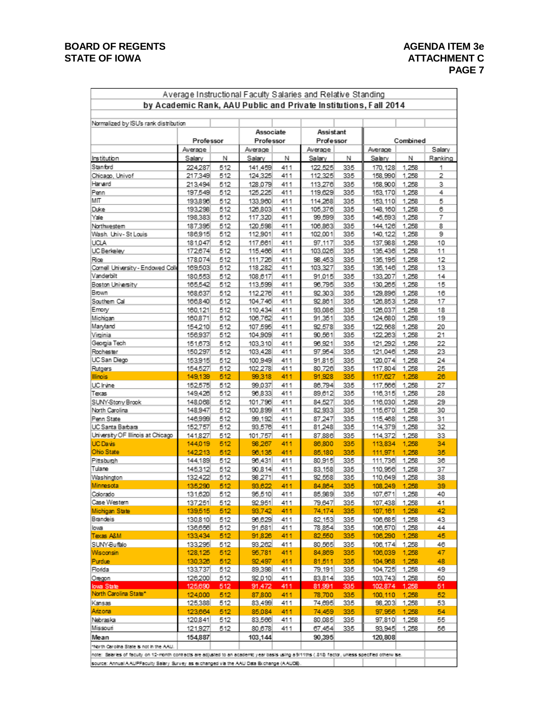# **BOARD OF REGENTS AGENDA ITEM 3e** STATE OF IOWA **ATTACHMENT C**

÷

# **PAGE 7**

| by Academic Rank, AAU Public and Private Institutions, Fall 2014 |                    |            |                        |            |                        |            |                     |                |         |
|------------------------------------------------------------------|--------------------|------------|------------------------|------------|------------------------|------------|---------------------|----------------|---------|
| Normalized by ISU's rank distribution                            |                    |            |                        |            |                        |            |                     |                |         |
|                                                                  | Professor          |            | Associate<br>Professor |            | Assistant<br>Professor |            | Combined            |                |         |
|                                                                  | Average            |            | Average                |            | Average                |            | Average             |                | Salary  |
| Institution<br>Stanford                                          | Salary<br>224,287  | Ν          | Salary                 | Ν          | Salary                 | Ν          | Salary              | Ν              | Ranking |
| Chicago, Univof                                                  |                    | 512<br>512 | 141,459<br>124,325     | 411<br>411 | 122,525                | 335<br>335 | 170, 128<br>158,990 | 1,258<br>1,258 | 1<br>2  |
| Harvard                                                          | 217,349<br>213,494 | 512        | 128,079                | 411        | 112,325<br>113,276     | 335        | 158,900             | 1,258          | з       |
| Penn                                                             | 197,549            | 512        | 125,225                | 411        | 119,629                | 335        | 153, 170            | 1,258          | 4       |
| МΠ                                                               | 193,896            | 512        | 133,960                | 411        | 114,268                | 335        | 153, 110            | 1,258          | 5       |
| Duke                                                             | 193,298            | 512        | 126,803                | 411        | 105,376                | 335        | 148, 160 1, 258     |                | 6       |
| Yale                                                             | 198,383            | 512        | 117,320                | 411        | 99,599                 | 335        | 145,593             | 1,258          | 7       |
| Northwestem                                                      | 187,395            | 512        | 120,598                | 411        | 106,863                | 335        | 144, 126 1, 258     |                | 8       |
| Wash, Univ-St Louis                                              | 186,915            | 512        | 112,901                | 411        | 102,001                | 335        | 140, 122            | 1,258          | 9       |
| UCLA                                                             | 181,047            | 512        | 117,661                | 411        | 97,117                 | 335        | 137,988             | 1,258          | 10      |
| UC Berkeley                                                      | 172,674            | 512        | 115,466                | 411        | 103,026                | 335        | 135,436 1,258       |                | 11      |
| Rice                                                             | 178,074            | 512        | 111,726                | 411        | 98,453                 | 335        | 135, 195            | 1,258          | 12      |
| Cornell University - Endowed Colle                               | 169,503            | 512        | 118,282                | 411        | 103,327                | 335        | 135, 146 1, 258     |                | 13      |
| Vanderbilt                                                       | 180,553            | 512        | 108,617                | 411        | 91,015                 | 335        | 133, 207            | 1,258          | 14      |
| Boston University                                                | 165,542            | 512        | 113,599                | 411        | 96,795                 | 335        | 130,265 1,258       |                | 15      |
| Brown                                                            | 168,637            | 512        | 112,276                | 411        | 92,303                 | 335        | 129,896             | 1,258          | 16      |
| Southern Cal                                                     | 166,840            | 512        | 104,746                | 411        | 92,861                 | 335        | 126,853             | 1,258          | 17      |
| Emory                                                            | 160,121            | 512        | 110,434                | 411        | 93,086                 | 335        | 126,037             | 1,258          | 18      |
| Michigan                                                         | 160,871            | 512        | 106,762                | 411        | 91,351                 | 335        | 124,680             | 1,258          | 19      |
| Maryland                                                         | 154,210            | 512        | 107,595                | 411        | 92,578                 | 335        | 122,568             | 1,258          | 20      |
| Virginia                                                         | 156,937            | 512        | 104,909                | 411        | 90,561                 | 335        | 122,263             | 1,258          | 21      |
| Georgia Tech                                                     | 151,673            | 512        | 103,310                | 411        | 96,921                 | 335        | 121.292 1.258       |                | 22      |
| Rochester                                                        | 150,297            | 512        | 103,428                | 411        | 97,954                 | 335        | 121,046             | 1,258          | 23      |
| UC San Diego                                                     | 153,915            | 512        | 100,949                | 411        | 91,815                 | 335        | 120,074 1,258       |                | 24      |
| Rutgers                                                          | 154,527            | 512        | 102,278                | 411        | 80,726                 | 335        | 117,804             | 1,258          | 25      |
| <b>Illinois</b>                                                  | 149,139            | 512        | 99,318                 | 411        | 91,928                 | 335        | 117,627 1,258       |                | 26      |
| UC Irvine                                                        | 152,575            | 512        | 99,037                 | 411        | 86,794                 | 335        | 117,566             | 1,258          | 27      |
| Texas                                                            | 149,426            | 512        | 96,833                 | 411        | 89,612                 | 335        | 116,315 1,258       |                | 28      |
| SUNY-Stony Brook                                                 | 148,068            | 512        | 101,796                | 411        | 84,527                 | 335        | 116,030             | 1,258          | 29      |
| North Carolina                                                   | 148,947            | 512        | 100,899                | 411        | 82,933                 | 335        | 115,670             | 1,258          | 30      |
| Penn State                                                       | 146,999            | 512        | 99,192                 | 411        | 87.247                 | 335        | 115,468             | 1.258          | 31      |
| UC Santa Barbara                                                 | 152,757            | 512        | 93,576                 | 411        | 81,248                 | 335        | 114,379             | 1,258          | 32      |
| University OF Illinois at Chicago                                | 141,827            | 512        | 101,757                | 411        | 87,886                 | 335        | 114,372             | 1,258          | 33      |
| <b>UC Davis</b>                                                  | 144,019            | 512        | 98,267                 | 411        | 86,800                 | 335        | 113,834             | 1,258          | 34      |
| Ohio State                                                       | 142,213            | 512        | 93,135                 | 411        | 85,180                 | 335        | 111,971             | 1,258          | 35      |
| Pittsburgh                                                       | 144,189            | 512        | 96,431                 | 411        | 80,915                 | 335        | 111,736             | 1,258          | 36      |
| Tulane                                                           | 145,312            | 512        | 90,814                 | 411        | 83,158                 | 335        | 110,956             | 1,258          | 37      |
| Washington                                                       | 132,422            | 512        | 98,271                 | 411        | 92,558                 | 335        | 110,649             | 1,258          | 38      |
| Minnesota                                                        | 135,290            | 512        | 93,622                 | 411        | 84,864                 | 335        | 108,249 1,258       |                | 39      |
| Colorado                                                         | 131,620            | 512        | 95,510                 | 411        | 85,989                 | 335        | 107,671 1,258       |                | 40      |
| Case Western                                                     | 137,251            | 512        | 92,951                 | 411        | 79,647                 | 335        | 107,438 1,258       |                | 41      |
| Michigan State                                                   | 139,515            | 512        | 93,742                 | 411        | 74,174                 | 335        | 107, 161 1, 258     |                | 42.     |
| Brandeis                                                         | 130,810            | 512        | 96,629                 | 411        | 82,153                 | 335        | 106,685 1,258       |                | 43      |
| lowa                                                             | 136,656            | 512        | 91,681                 | 411        | 78,854                 | 335        | 106,570 1,258       |                | 44      |
| Texas A&M                                                        | 133,434            | 512        | 91,826                 | 411        | 82,550                 | 335        | 106,290 1,258       |                | 45      |
| SUNY-Buffalo                                                     | 133,295            | 512        | 93,262                 | 411        | 80,565                 | 335        | 106, 174 1, 258     |                | 46      |
| Wisconsin                                                        | 128,125            | 512        | 95,781                 | 411        | 84,869                 | 335        | 106,039 1,258       |                | 47      |
| Purdue                                                           | 130,326            | 512        | 92,497                 | 411        | 81,511                 | 335        | 104,968 1,258       |                | 48      |
| Florida                                                          | 133,737            | 512        | 89,398                 | 411        | 79,191                 | 335        | 104,725 1,258       |                | 49      |
| Oregon                                                           | 126,200            | 512        | 92,010                 | 411        | 83,814                 | 335        | 103,743 1,258       |                | 50      |
| lowa State                                                       | 125,690            | 512        | <u>91,472</u>          | 411        | 81,991                 | 335        | 102,874 1,258       |                | 51      |
| North Carolina State*                                            | 124,000            | 512        | 87,800                 | 411        | 78,700                 | 335        | 100,110 1,258       |                | 52      |
| Kansas                                                           | 125,388            | 512        | 83,499                 | 411        | 74,695                 | 335        | 98, 203 1, 258      |                | 53      |
| Arizona                                                          | 123,664            | 512        | 85,084                 | 411        | 74,459                 | 335        | 97,956 1,258        |                | 54      |
| Nebraska                                                         | 120,841            | 512        | 83,566                 | 411        | 80,085                 | 335        | 97,810 1,258        |                | 55      |
| Missouri                                                         | 121,927            | 512        | 80,678                 | 411        | 67,454                 | 335        | 93,945 1,258        |                | 56      |
| Mean                                                             | 154,887            |            | 103,144                |            | 90,395                 |            | 120,808             |                |         |
| "North Carolina State is not in the AAU.                         |                    |            |                        |            |                        |            |                     |                |         |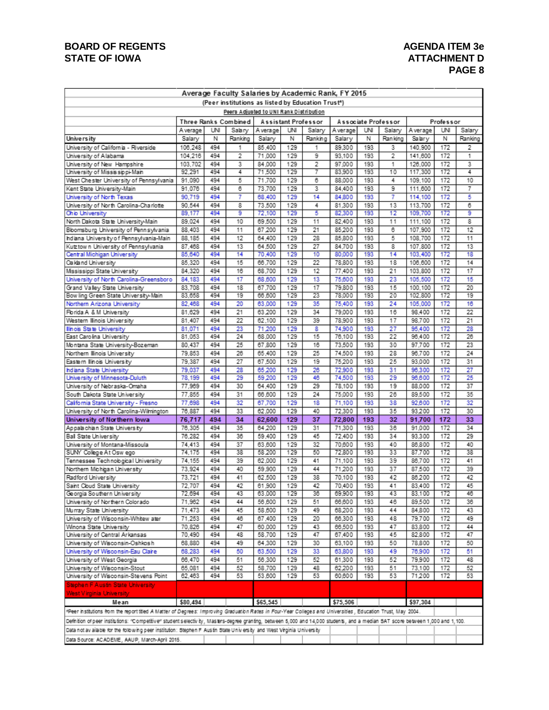# **BOARD OF REGENTS AGENDA ITEM 3e** STATE OF IOWA **ATTACHMENT D**

# **PAGE 8**

| Average Faculty Salaries by Academic Rank, FY 2015                                                                                                                             |                                         |            |                      |                  |            |                     |                  |            |                     |                    |            |          |
|--------------------------------------------------------------------------------------------------------------------------------------------------------------------------------|-----------------------------------------|------------|----------------------|------------------|------------|---------------------|------------------|------------|---------------------|--------------------|------------|----------|
| (Peer institutions as listed by Education Trust*)                                                                                                                              |                                         |            |                      |                  |            |                     |                  |            |                     |                    |            |          |
|                                                                                                                                                                                | Peers Adjusted to UNI Rank Distribution |            |                      |                  |            |                     |                  |            |                     |                    |            |          |
|                                                                                                                                                                                |                                         |            | Three Ranks Combined |                  |            | Assistant Professor |                  |            | Associate Professor |                    | Professor  |          |
|                                                                                                                                                                                | A verage                                | UNI        | Salary               | A verage         | UNI        | Salary              | A verage         | UNI        | Salary              | A verage           | UNI        | Salary   |
| University                                                                                                                                                                     | Salary                                  | Ν          | Ranking              | Salary           | Ν          | Ranking             | Salary           | Ν          | Ran king            | Salary             | N          | Ranking  |
| University of California - Riverside                                                                                                                                           | 106,248                                 | 494        | 1                    | 85.400           | 129        | 1                   | 89,300           | 193        | 3                   | 140,900            | 172        | 2        |
| University of Alabama                                                                                                                                                          | 104,216                                 | 494        | 2                    | 71,000           | 129        | 9                   | 93,100           | 193        | 2                   | 141.600            | 172        | 1        |
| University of New Hampshire                                                                                                                                                    | 103,702                                 | 494        | 3                    | 84,000           | 129        | 2                   | 97.000           | 193        | 1                   | 126,000            | 172        | 3        |
| University of Mississippi-Main                                                                                                                                                 | 92.291                                  | 494        | 4                    | 71,500           | 129        | 7                   | 83,900           | 193        | 10                  | 117,300            | 172        | 4        |
| West Chester University of Pennsylvania                                                                                                                                        | 91,090                                  | 494        | 5                    | 71,700           | 129        | 6                   | 88,000           | 193        | 4                   | 109.100            | 172        | 10       |
| Kent State University-Main                                                                                                                                                     | 91,076                                  | 494        | 6                    | 73.700           | 129        | 3                   | 84.400           | 193        | 9                   | 111.600            | 172        | 7        |
| University of North Texas                                                                                                                                                      | 90.719                                  | 494        | 7                    | 68,400           | 129        | 14                  | 84,800           | 193        | 7                   | 114.100            | 172        | 5        |
| University of North Carolina-Charlotte                                                                                                                                         | 90.544                                  | 494        | 8                    | 73,500           | 129        | 4                   | 81,300           | 193        | 13                  | 113.700            | 172        | 6        |
| <b>Chio University</b>                                                                                                                                                         | 89.177                                  | 494        | 9                    | 72,100           | 129        | 5                   | 82,300           | 193        | 12                  | 109,700            | 172        | 9        |
| North Dakota State University-Main                                                                                                                                             | 89.024                                  | 494        | 10                   | 69,500           | 129        | 11                  | 82,400           | 193        | 11                  | 111.100            | 172        | 8        |
| Bloomsburg University of Pennsylvania                                                                                                                                          | 88,403                                  | 494        | 11                   | 67,200           | 129        | 21                  | 85,200           | 193        | 6                   | 107.900            | 172        | 12       |
| hdiana University of Pennsylvania-Main                                                                                                                                         | 88,185                                  | 494        | 12                   | 64,400           | 129<br>129 | 28                  | 85,800           | 193<br>193 | 5<br>8              | 108,700            | 172        | 11       |
| Kutztown University of Pennsylvania<br>Central Michigan University                                                                                                             | 87.468<br>85,640                        | 494<br>494 | 13<br>14             | 64,500<br>70,400 | 129        | 27<br>10            | 84.700<br>80,000 | 193        | 14                  | 107.800<br>103,400 | 172<br>172 | 13<br>18 |
| Cakland University                                                                                                                                                             | 85.320                                  | 494        | 15                   | 66.700           | 129        | 22                  | 78,800           | 193        | 18                  | 106.600            | 172        | 14       |
| Mississippi State University                                                                                                                                                   | 84,320                                  | 494        | 16                   | 68,700           | 129        | 12                  | 77,400           | 193        | 21                  | 103,800            | 172        | 17       |
| University of North Carolina-Greensboro                                                                                                                                        | 84.183                                  | 494        | 17                   | 68,600           | 129        | 13                  | 75,600           | 193        | 23                  | 105,500            | 172        | 15       |
| Grand Valley State University                                                                                                                                                  | 83.708                                  | 494        | 18                   | 67,700           | 129        | 17                  | 79,800           | 193        | 15                  | 100,100            | 172        | 20       |
| Bow ling Green State University-Main                                                                                                                                           | 83,658                                  | 494        | 19                   | 66,600           | 129        | 23                  | 78,000           | 193        | 20                  | 102.800            | 172        | 19       |
| Northern Arizona University                                                                                                                                                    | 82,468                                  | 494        | 20                   | 63,000           | 129        | 35                  | 75,400           | 193        | 24                  | 105.000            | 172        | 16       |
| Florida A & M University                                                                                                                                                       | 81,629                                  | 494        | 21                   | 63,200           | 129        | 34                  | 79,000           | 193        | 16                  | 98,400             | 172        | 22       |
| Western Illinois University                                                                                                                                                    | 81,407                                  | 494        | 22                   | 62,100           | 129        | 39                  | 78,900           | 193        | 17                  | 98,700             | 172        | 21       |
| llinois State University                                                                                                                                                       | 81.071                                  | 494        | 23                   | 71,200           | 129        | 8                   | 74,900           | 193        | 27                  | 95.400             | 172        | 28       |
| East Carolina University                                                                                                                                                       | 81.053                                  | 494        | 24                   | 68,000           | 129        | 15                  | 76,100           | 193        | 22                  | 96.400             | 172        | 26       |
| Montana State University-Bozeman                                                                                                                                               | 80,437                                  | 494        | 25                   | 67,800           | 129        | 16                  | 73,500           | 193        | 30                  | 97,700             | 172        | 23       |
| Northern Ilinois University                                                                                                                                                    | 79.853                                  | 494        | 26                   | 65,400           | 129        | 25                  | 74,500           | 193        | 28                  | 96.700             | 172        | 24       |
| Eastern Ilinois University                                                                                                                                                     | 79.387                                  | 494        | 27                   | 67,500           | 129        | 19                  | 75,200           | 193        | 25                  | 93,000             | 172        | 31       |
| hdiana State University                                                                                                                                                        | 79,037                                  | 494        | 28                   | 65,200           | 129        | 26                  | 72,900           | 193        | 31                  | 96,300             | 172        | 27       |
| University of Minnesota-Duluth                                                                                                                                                 | 78,199                                  | 494        | 29                   | 59,200           | 129        | 46                  | 74,500           | 193        | 29                  | 96,600             | 172        | 25       |
| University of Nebraska-Omaha                                                                                                                                                   | 77,969                                  | 494        | 30                   | 64,400           | 129        | 29                  | 78,100           | 193        | 19                  | 88,000             | 172        | 37       |
| South Dakota State University                                                                                                                                                  | 77,855                                  | 494        | 31                   | 66,600           | 129        | 24                  | 75,000           | 193        | 26                  | 89,500             | 172        | 35       |
| California State University - Fresno                                                                                                                                           | 77,698                                  | 494        | 32                   | 67,700           | 129        | 18                  | 71,100           | 193        | 38                  | 92,600             | 172        | 32       |
| University of North Carolina-Wilmington                                                                                                                                        | 76,887                                  | 494        | 33                   | 62,000           | 129        | 40                  | 72,300           | 193        | 35                  | 93,200             | 172        | 30       |
| University of Northern lowa                                                                                                                                                    | 76,717                                  | 494        | 34                   | 62,600           | 129        | 37                  | 72,800           | 193        | 32                  | 91,700             | 172        | 33       |
| Appalachian State University                                                                                                                                                   | 76,305                                  | 494        | 35                   | 64,200           | 129        | 31                  | 71,300           | 193        | 36                  | 91,000             | 172        | 34       |
| Ball State University                                                                                                                                                          | 76,282                                  | 494        | 36                   | 59,400           | 129        | 45                  | 72.400           | 193        | 34                  | 93.300             | 172        | 29       |
| University of Montana-Missoula                                                                                                                                                 | 74,413                                  | 494        | 37                   | 63,600           | 129        | 32                  | 70,600           | 193        | 40                  | 86,800             | 172        | 40       |
| SUNY College At Osw ego                                                                                                                                                        | 74,175                                  | 494        | 38                   | 58,200           | 129        | 50                  | 72,800           | 193        | 33                  | 87,700             | 172        | 38       |
| Tennessee Technobgical University                                                                                                                                              | 74.155                                  | 494        | 39                   | 62,000           | 129        | 41                  | 71,100           | 193        | 39                  | 86,700             | 172        | 41       |
| Northern Michigan University                                                                                                                                                   | 73,924                                  | 494        | 40                   | 59,900           | 129        | 44                  | 71,200           | 193        | 37                  | 87,500             | 172        | 39       |
| Radford University                                                                                                                                                             | 73,721                                  | 494        | 41                   | 62,500           | 129        | 38                  | 70,100           | 193        | 42                  | 86,200             | 172        | 42       |
| Saint Cloud State University                                                                                                                                                   | 72.707                                  | 494        | 42                   | 61,900           | 129        | 42                  | 70,400           | 193        | 41                  | 83,400             | 172        | 45       |
| Georgia Southern University                                                                                                                                                    | 72,694                                  | 494        | 43                   | 63,000           | 129        | 36                  | 69,900           | 193        | 43                  | 83,100             | 172        | 46       |
| University of Northern Colorado                                                                                                                                                | 71,962                                  | 494        | 44                   | 56,600           | 129        | 51                  | 66,600           | 193        | 46                  | 89.500             | 172        | 36       |
| Murray State University                                                                                                                                                        | 71,473                                  | 494        | 45                   | 58,600           | 129        | 49                  | 68,200           | 193        | 44                  | 84,800             | 172        | 43       |
| University of Wisconsin-Whitew ater                                                                                                                                            | 71,253                                  | 494        | 46                   | 67,400           | 129        | 20                  | 66,300           | 193        | 48                  | 79,700             | 172        | 49       |
| Winona State University                                                                                                                                                        | 70,826                                  | 494        | 47                   | 60.000           | 129        | 43                  | 66,500           | 193        | 47                  | 83,800             | 172        | 44       |
| University of Central Arkansas<br>University of Wisconsin-Oshkosh                                                                                                              | 70,490                                  | 494<br>494 | 48                   | 58.700           | 129<br>129 | 47<br>30            | 67,400           | 193<br>193 | 45<br>50            | 82,800             | 172<br>172 | 47<br>50 |
| University of Wisconsin-Eau Claire                                                                                                                                             | 68,880<br>68,283                        | 494        | 49<br>50             | 64,300<br>63,500 | 129        | 33                  | 63,100           | 193        | 49                  | 78,800<br>76,900   | 172        | 51       |
| University of West Georgia                                                                                                                                                     | 66,470                                  | 494        | 51                   | 56,300           | 129        | 52                  | 63,800<br>61,300 | 193        | 52                  | 79,900             | 172        | 48       |
| University of Wisconsin-Stout                                                                                                                                                  | 65,081                                  | 494        | 52                   | 58,700           | 129        | 48                  | 62,200           | 193        | 51                  | 73,100             | 172        | 52       |
| University of Wisconsin-Stevens Point                                                                                                                                          | 62,463                                  | 494        | 53                   | 53,600           | 129        | 53                  | 60,600           | 193        | 53                  | 71,200             | 172        | 53       |
| Stephen F Austin State University                                                                                                                                              |                                         |            |                      |                  |            |                     |                  |            |                     |                    |            |          |
|                                                                                                                                                                                |                                         |            |                      |                  |            |                     |                  |            |                     |                    |            |          |
| West Virginia University<br>Mean                                                                                                                                               | \$80,494                                |            |                      | \$65,545         |            |                     | \$75,506         |            |                     | \$97,304           |            |          |
|                                                                                                                                                                                |                                         |            |                      |                  |            |                     |                  |            |                     |                    |            |          |
| *Peer institutions from the report itlied A Matter of Degrees: Improving Graduation Rates in Four-Year Colleges and Universities , Education Trust, May 2004.                  |                                         |            |                      |                  |            |                     |                  |            |                     |                    |            |          |
| Defnition of peer institutions: "Competitive" student selectivity, Masiers-degree granting, between 5,000 and 14,000 students, and a median SAT score between 1,000 and 1,100. |                                         |            |                      |                  |            |                     |                  |            |                     |                    |            |          |
| Data not av ailable for the following peer institution: Stephen F Aus tin State University and West Virginia University                                                        |                                         |            |                      |                  |            |                     |                  |            |                     |                    |            |          |
| Data Source: ACADEME, AAUP, March-April 2015.                                                                                                                                  |                                         |            |                      |                  |            |                     |                  |            |                     |                    |            |          |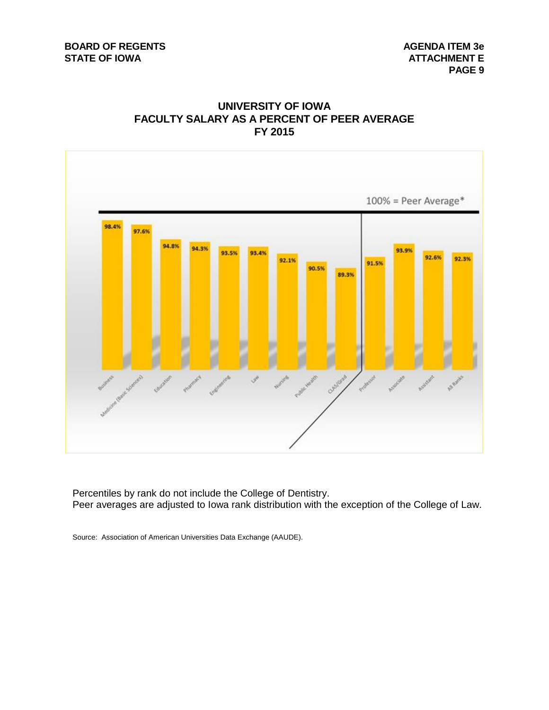# **UNIVERSITY OF IOWA FACULTY SALARY AS A PERCENT OF PEER AVERAGE FY 2015**



Percentiles by rank do not include the College of Dentistry. Peer averages are adjusted to Iowa rank distribution with the exception of the College of Law.

Source: Association of American Universities Data Exchange (AAUDE).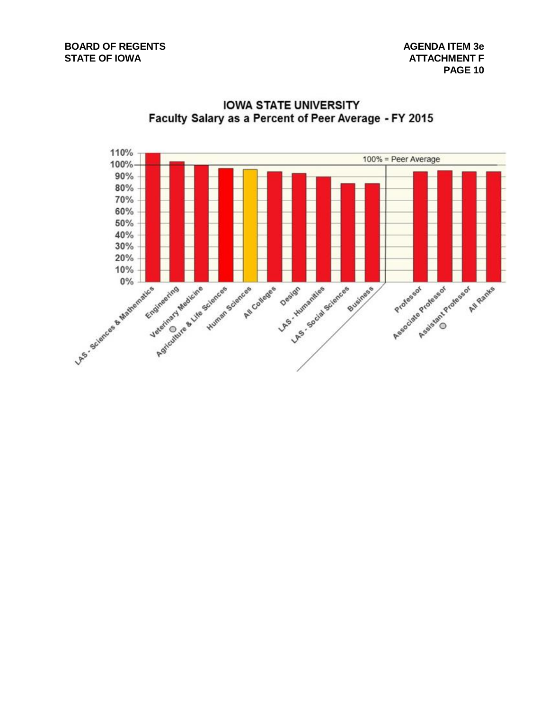

**IOWA STATE UNIVERSITY** Faculty Salary as a Percent of Peer Average - FY 2015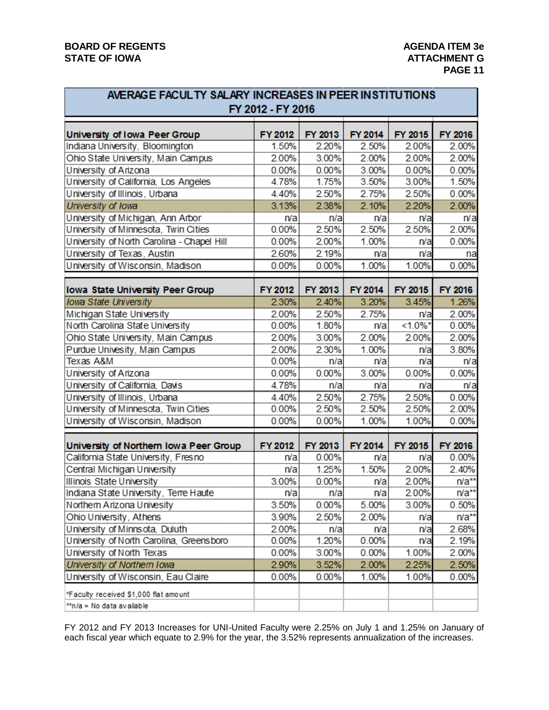# **BOARD OF REGENTS AGENUS AGENDA ITEM 3e** STATE OF IOWA **ATTACHMENT G**

| AVERAGE FACUL TY SALARY INCREASES IN PEER INSTITUTIONS                        | FY 2012 - FY 2016 |                  |                |                |                  |
|-------------------------------------------------------------------------------|-------------------|------------------|----------------|----------------|------------------|
| University of Iowa Peer Group                                                 | FY 2012           | FY 2013          | FY 2014        | FY 2015        | FY 2016          |
| Indiana University, Bloomington                                               | 1.50%             | 2.20%            | 2.50%          | 2.00%          | 2.00%            |
| Ohio State University, Main Campus                                            | 2.00%             | 3.00%            | 2.00%          | 2.00%          | 2.00%            |
| University of Arizona                                                         | 0.00%             | 0.00%            | 3.00%          | 0.00%          | 0.00%            |
| University of California, Los Angeles                                         | 4.78%             | 1.75%            | 3.50%          | 3.00%          | 1.50%            |
| University of Illinois, Urbana                                                | 4.40%             | 2.50%            | 2.75%          | 2.50%          | 0.00%            |
| University of Iowa                                                            | 3.13%             | 2.38%            | 2.10%          | 2.20%          | 2.00%            |
| University of Michigan, Ann Arbor                                             | n/a               | n/a              | n/a            | n/a            | n/a              |
| University of Minnesota, Twin Cities                                          | 0.00%             | 2.50%            | 2.50%          | 2.50%          | 2.00%            |
| University of North Carolina - Chapel Hill                                    | 0.00%             | 2.00%            | 1.00%          | n/a            | 0.00%            |
| University of Texas, Austin                                                   | 2.60%             | 2.19%            | n/a            | n/a            | na               |
| University of Wisconsin, Madison                                              | 0.00%             | 0.00%            | 1.00%          | 1.00%          | 0.00%            |
| Iowa State University Peer Group                                              | FY 2012           | FY 2013          | FY 2014        | FY 2015        | FY 2016          |
| <b>Iowa State University</b>                                                  | 2.30%             | 2.40%            | 3.20%          | 3.45%          | 1.26%            |
| Michigan State University                                                     | 2.00%             | 2.50%            | 2.75%          | n/a            | 2.00%            |
| North Carolina State University                                               | 0.00%             | 1.80%            | n/a            | $<1.0\%$ *     | 0.00%            |
| Ohio State University, Main Campus                                            | 2.00%             | 3.00%            | 2.00%          | 2.00%          | 2.00%            |
| Purdue Univesity, Main Campus                                                 | 2.00%             | 2.30%            | 1.00%          | n/a            | 3.80%            |
| Texas A&M                                                                     | 0.00%             | n/a              | n/a            | n/a            | n/a              |
| University of Arizona                                                         | 0.00%             | 0.00%            | 3.00%          | 0.00%          | 0.00%            |
| University of California, Davis                                               | 4.78%             | n/a              | n/a            | n/a            | n/a              |
| University of Illinois, Urbana                                                | 4.40%             | 2.50%            | 2.75%          | 2.50%          | 0.00%            |
| University of Minnesota, Twin Cities                                          | 0.00%             | 2.50%            | 2.50%          | 2.50%          | 2.00%            |
| University of Wisconsin, Madison                                              | 0.00%             | 0.00%            | 1.00%          | 1.00%          | 0.00%            |
|                                                                               |                   |                  |                |                |                  |
| University of Northern Iowa Peer Group<br>California State University, Fresno | FY 2012<br>n/a    | FY 2013<br>0.00% | FY 2014<br>n/a | FY 2015<br>n/a | FY 2016<br>0.00% |
| Central Michigan University                                                   | n/a               | 1.25%            | 1.50%          | 2.00%          | 2.40%            |
|                                                                               | 3.00%             | 0.00%            |                | 2.00%          | $n/a**$          |
| Illinois State University<br>Indiana State University, Terre Haute            | n/a               | n/a              | n/a<br>n/a     | 2.00%          | $n/a**$          |
|                                                                               | 3.50%             | 0.00%            |                | 3.00%          | 0.50%            |
| Northern Arizona Univesity                                                    | 3.90%             | 2.50%            | 5.00%          |                |                  |
| Ohio University, Athens                                                       |                   |                  | 2.00%          | n/a            | $n/a**$          |
| University of Minnsota, Duluth<br>University of North Carolina, Greensboro    | 2.00%<br>0.00%    | n/a              | n/a            | n/a            | 2.68%            |
|                                                                               |                   | 1.20%            | 0.00%          | n/a            | 2.19%            |
| University of North Texas                                                     | $0.00\%$          | 3.00%            | $0.00\%$       | 1.00%          | 2.00%            |
| University of Northern Iowa<br>University of Wisconsin, Eau Claire            | 2.90%             | 3.52%            | 2.00%<br>1.00% | 2.25%          | 2.50%            |
|                                                                               | 0.00%             | 0.00%            |                | 1.00%          | 0.00%            |
| *Faculty received \$1,000 flat amount                                         |                   |                  |                |                |                  |
| **n/a = No data available                                                     |                   |                  |                |                |                  |

FY 2012 and FY 2013 Increases for UNI-United Faculty were 2.25% on July 1 and 1.25% on January of each fiscal year which equate to 2.9% for the year, the 3.52% represents annualization of the increases.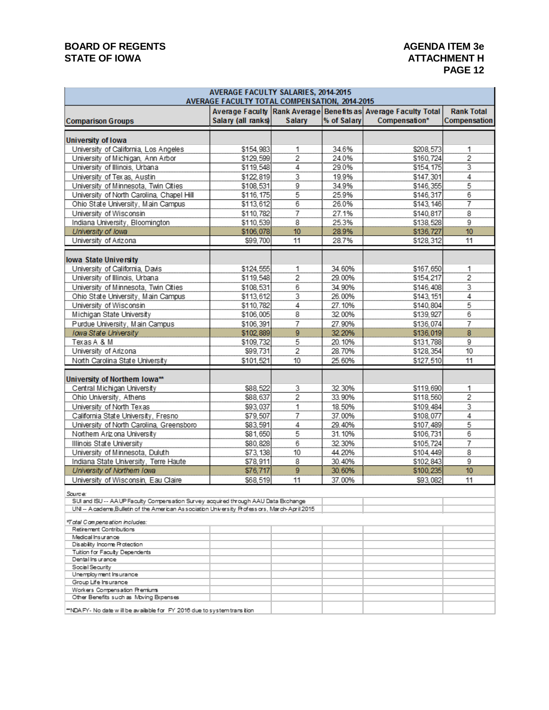# **BOARD OF REGENTS AGENDA ITEM 3e** STATE OF IOWA **ATTACHMENT H**

# **PAGE 12**

|                                                                                              | AVERAGE FACULTY SALARIES, 2014-2015<br>AVERAGE FACULTY TOTAL COMPEN SATION, 2014-2015 |                 |             |                                                                                 |                                   |
|----------------------------------------------------------------------------------------------|---------------------------------------------------------------------------------------|-----------------|-------------|---------------------------------------------------------------------------------|-----------------------------------|
| <b>Comparison Groups</b>                                                                     | Salary (all ranks)                                                                    | Salary          | % of Salary | Average Faculty Rank Average Benefits as Average Faculty Total<br>Compensation* | <b>Rank Total</b><br>Compensation |
| University of Iowa                                                                           |                                                                                       |                 |             |                                                                                 |                                   |
| University of California, Los Angeles                                                        | \$154,983                                                                             | 1               | 34.6%       | \$208,573                                                                       | 1                                 |
| University of Michigan, Ann Arbor                                                            | \$129,599                                                                             | 2               | 24.0%       | \$160,724                                                                       | 2                                 |
| University of Illinois, Urbana                                                               | \$119,548                                                                             |                 | 29.0%       | \$154,175                                                                       | $\overline{3}$                    |
| University of Tex as, Austin                                                                 | \$122,819                                                                             | $\frac{4}{3}$   | 19.9%       | \$147,301                                                                       |                                   |
| University of Minnesota, Twin Cities                                                         | \$108,531                                                                             | $\overline{9}$  | 34.9%       | \$146.355                                                                       | $\frac{4}{5}$                     |
| University of North Carolina, Chapel Hill                                                    | \$116, 175                                                                            | 5               | 25.9%       | \$146,317                                                                       | 6                                 |
| Ohio State University, Main Campus                                                           | \$113,612                                                                             | $6\overline{6}$ | 26.0%       | \$143, 146                                                                      | 7                                 |
| University of Wisconsin                                                                      | \$110,782                                                                             | $\overline{7}$  | 27.1%       | \$140,817                                                                       | 8                                 |
| Indiana University, Bloomington                                                              | \$110,539                                                                             | 8               | 25.3%       | \$138,528                                                                       |                                   |
| University of Iowa                                                                           | \$106,078                                                                             | 10              | 28.9%       | \$136,727                                                                       | $\frac{9}{10}$                    |
| University of Arizona                                                                        | \$99,700                                                                              | 11              | 28.7%       | \$128,312                                                                       | 11                                |
| lowa State University                                                                        |                                                                                       |                 |             |                                                                                 |                                   |
| University of California, Davis                                                              | \$124,555                                                                             |                 | 34.60%      | \$167,650                                                                       | 1                                 |
| University of Illinois, Urbana                                                               | \$119,548                                                                             | $\frac{1}{2}$   | 29.00%      | \$154,217                                                                       | 2                                 |
| University of Minnesota, Twin Cities                                                         | \$108,531                                                                             |                 | 34.90%      | \$146,408                                                                       | $\overline{3}$                    |
| Ohio State University, Main Campus                                                           | \$113,612                                                                             | $\frac{6}{3}$   | 26.00%      | \$143, 151                                                                      | $\overline{4}$                    |
| University of Wisconsin                                                                      | \$110,782                                                                             | $\overline{4}$  | 27.10%      | \$140,804                                                                       | 5                                 |
| Michigan State University                                                                    | \$106,005                                                                             | 8               | 32.00%      | \$139,927                                                                       | 6                                 |
| Purdue University, Main Campus                                                               | \$106,391                                                                             |                 | 27.90%      | \$136,074                                                                       | 7                                 |
| Iowa State University                                                                        | \$102,889                                                                             | $\frac{7}{9}$   | 32.20%      | \$136,019                                                                       | 8                                 |
| Texas A & M                                                                                  | \$109,732                                                                             | 5               | 20.10%      | \$131,788                                                                       | 9                                 |
| University of Arizona                                                                        | \$99,731                                                                              | 2               | 28.70%      | \$128,354                                                                       | 10                                |
| North Carolina State University                                                              | \$101,521                                                                             | 10              | 25.60%      | \$127,510                                                                       | 11                                |
| University of Northem Iowa**                                                                 |                                                                                       |                 |             |                                                                                 |                                   |
| Central Michigan University                                                                  | \$88,522                                                                              | 3               | 32.30%      | \$119,690                                                                       | 1                                 |
| Ohio University, Athens                                                                      | \$88,637                                                                              | 2               | 33.90%      | \$118,560                                                                       | 2                                 |
| University of North Texas                                                                    | \$93,037                                                                              | $\mathbf{1}$    | 18.50%      | \$109.484                                                                       | $\overline{3}$                    |
| California State University, Fresno                                                          | \$79,507                                                                              | 7               | 37.00%      | \$108,077                                                                       | $\overline{4}$                    |
| University of North Carolina, Greensboro                                                     | \$83,591                                                                              | 4               | 29.40%      | \$107,489                                                                       | 5                                 |
| Northern Ariz ona University                                                                 | \$81.650                                                                              | 5               | 31.10%      | \$106,731                                                                       | 6                                 |
| Illinois State University                                                                    | \$80,828                                                                              | 6               | 32.30%      | \$105,724                                                                       | 7                                 |
| University of Minnesota, Duluth                                                              | \$73,138                                                                              | 10              | 44.20%      | \$104,449                                                                       | $\overline{8}$                    |
| Indiana State University, Terre Haute                                                        | \$78,911                                                                              | 8               | 30.40%      | \$102,843                                                                       | 9                                 |
| University of Northern Iowa                                                                  | \$76,717                                                                              | 9               | 30.60%      | \$100,235                                                                       | 10                                |
| University of Wisconsin, Eau Claire                                                          | \$68,519                                                                              | 11              | 37.00%      | \$93,082                                                                        | 11                                |
| Source:                                                                                      |                                                                                       |                 |             |                                                                                 |                                   |
| SUI and ISU -- AAUP Faculty Compensation Survey acquired through AAU Data Exchange           |                                                                                       |                 |             |                                                                                 |                                   |
| UNI -- A cademe,Bulletin of the American Association University Professors, March-April 2015 |                                                                                       |                 |             |                                                                                 |                                   |
| *Total Compensation includes:                                                                |                                                                                       |                 |             |                                                                                 |                                   |
| Retirement Contributions                                                                     |                                                                                       |                 |             |                                                                                 |                                   |
| Medical Insurance<br>Disability Income Protection                                            |                                                                                       |                 |             |                                                                                 |                                   |
| Tuition for Faculty Dependents                                                               |                                                                                       |                 |             |                                                                                 |                                   |
| Dental Ins urance                                                                            |                                                                                       |                 |             |                                                                                 |                                   |
| Social Security                                                                              |                                                                                       |                 |             |                                                                                 |                                   |
| Unemployment Insurance<br>Group Life Insurance                                               |                                                                                       |                 |             |                                                                                 |                                   |
| Workers Compensation Premiums                                                                |                                                                                       |                 |             |                                                                                 |                                   |
| Other Benefits such as Moving Expenses                                                       |                                                                                       |                 |             |                                                                                 |                                   |
| **NDA FY-No date will be available for FY 2016 due to system transition                      |                                                                                       |                 |             |                                                                                 |                                   |

\*NDA FY- No date will be available for FY 2016 due to system transition